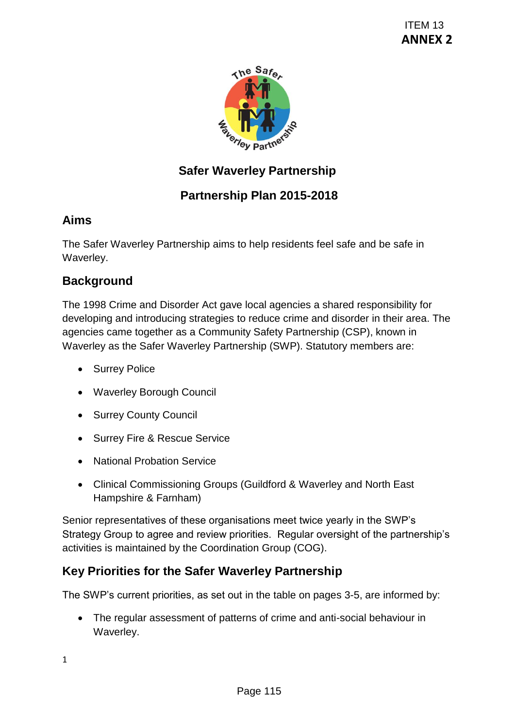

# **Safer Waverley Partnership**

# **Partnership Plan 2015-2018**

# **Aims**

The Safer Waverley Partnership aims to help residents feel safe and be safe in Waverley.

# **Background**

The 1998 Crime and Disorder Act gave local agencies a shared responsibility for developing and introducing strategies to reduce crime and disorder in their area. The agencies came together as a Community Safety Partnership (CSP), known in Waverley as the Safer Waverley Partnership (SWP). Statutory members are: TEM 13<br>
ANNEX<br>
You partnership<br>
You partnership<br>
You partnership<br>
You partnership<br>
to help residents feel safe and be safe in<br>
to help residents feel safe and be safe in<br>
to to reduce crime and disorder in their area. The<br>

- Surrey Police
- Waverley Borough Council
- Surrey County Council
- Surrey Fire & Rescue Service
- National Probation Service
- Clinical Commissioning Groups (Guildford & Waverley and North East Hampshire & Farnham)

Senior representatives of these organisations meet twice yearly in the SWP's Strategy Group to agree and review priorities. Regular oversight of the partnership's activities is maintained by the Coordination Group (COG).

# **Key Priorities for the Safer Waverley Partnership**

The SWP's current priorities, as set out in the table on pages 3-5, are informed by:

 The regular assessment of patterns of crime and anti-social behaviour in Waverley.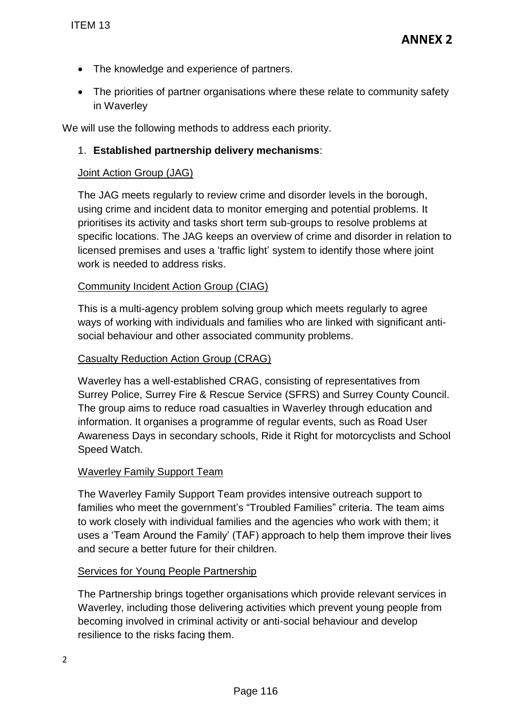- The knowledge and experience of partners.
- The priorities of partner organisations where these relate to community safety in Waverley

We will use the following methods to address each priority.

### 1. **Established partnership delivery mechanisms**:

#### Joint Action Group (JAG)

The JAG meets regularly to review crime and disorder levels in the borough, using crime and incident data to monitor emerging and potential problems. It prioritises its activity and tasks short term sub-groups to resolve problems at specific locations. The JAG keeps an overview of crime and disorder in relation to licensed premises and uses a 'traffic light' system to identify those where joint work is needed to address risks. TEM 13<br>
• The knowledge and experience of partnu<br>
• The priorities of partner organisations wi<br>
in Waverley<br>
<sup>1</sup>e will use the following methods to address e<br>
1. **Established partnership delivery mec**<br>
<u>Joint Action Group </u>

#### Community Incident Action Group (CIAG)

This is a multi-agency problem solving group which meets regularly to agree ways of working with individuals and families who are linked with significant antisocial behaviour and other associated community problems.

#### Casualty Reduction Action Group (CRAG)

Waverley has a well-established CRAG, consisting of representatives from Surrey Police, Surrey Fire & Rescue Service (SFRS) and Surrey County Council. The group aims to reduce road casualties in Waverley through education and information. It organises a programme of regular events, such as Road User Awareness Days in secondary schools, Ride it Right for motorcyclists and School Speed Watch.

#### Waverley Family Support Team

The Waverley Family Support Team provides intensive outreach support to families who meet the government's "Troubled Families" criteria. The team aims to work closely with individual families and the agencies who work with them; it uses a 'Team Around the Family' (TAF) approach to help them improve their lives and secure a better future for their children.

#### Services for Young People Partnership

The Partnership brings together organisations which provide relevant services in Waverley, including those delivering activities which prevent young people from becoming involved in criminal activity or anti-social behaviour and develop resilience to the risks facing them.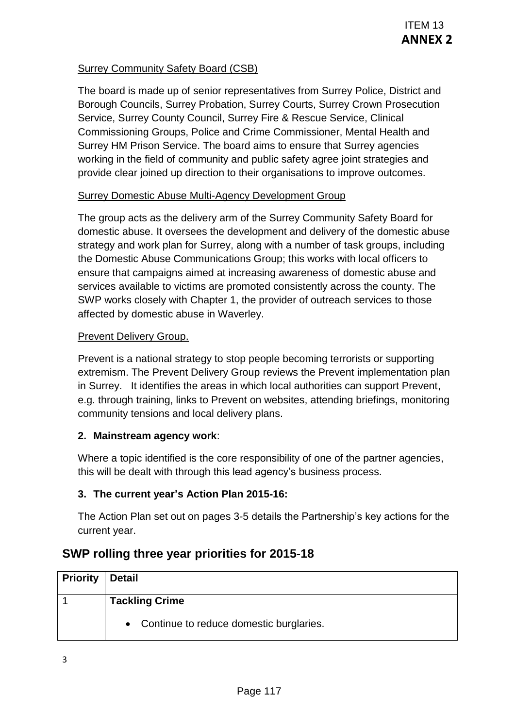### Surrey Community Safety Board (CSB)

The board is made up of senior representatives from Surrey Police, District and Borough Councils, Surrey Probation, Surrey Courts, Surrey Crown Prosecution Service, Surrey County Council, Surrey Fire & Rescue Service, Clinical Commissioning Groups, Police and Crime Commissioner, Mental Health and Surrey HM Prison Service. The board aims to ensure that Surrey agencies working in the field of community and public safety agree joint strategies and provide clear joined up direction to their organisations to improve outcomes.

### Surrey Domestic Abuse Multi-Agency Development Group

The group acts as the delivery arm of the Surrey Community Safety Board for domestic abuse. It oversees the development and delivery of the domestic abuse strategy and work plan for Surrey, along with a number of task groups, including the Domestic Abuse Communications Group; this works with local officers to ensure that campaigns aimed at increasing awareness of domestic abuse and services available to victims are promoted consistently across the county. The SWP works closely with Chapter 1, the provider of outreach services to those affected by domestic abuse in Waverley. ITEM 13<br>
SCSB)<br>
ITEM 13<br>
COMPREST CONTERN TRIVE CONTERN TRIVE CONTEX CONTERN TRIVE CONTERN TRIVE CONTERN CONTE<br>
DIFFIC & Rescue Service, Clinical Health and<br>
In Crime Commissioner, Mental Health and<br>
their organisations to

#### Prevent Delivery Group.

Prevent is a national strategy to stop people becoming terrorists or supporting extremism. The Prevent Delivery Group reviews the Prevent implementation plan in Surrey. It identifies the areas in which local authorities can support Prevent, e.g. through training, links to Prevent on websites, attending briefings, monitoring community tensions and local delivery plans.

### **2. Mainstream agency work**:

Where a topic identified is the core responsibility of one of the partner agencies, this will be dealt with through this lead agency's business process.

### **3. The current year's Action Plan 2015-16:**

The Action Plan set out on pages 3-5 details the Partnership's key actions for the current year.

## **SWP rolling three year priorities for 2015-18**

| <b>Priority   Detail</b> |                                           |  |  |  |  |
|--------------------------|-------------------------------------------|--|--|--|--|
|                          | <b>Tackling Crime</b>                     |  |  |  |  |
|                          | • Continue to reduce domestic burglaries. |  |  |  |  |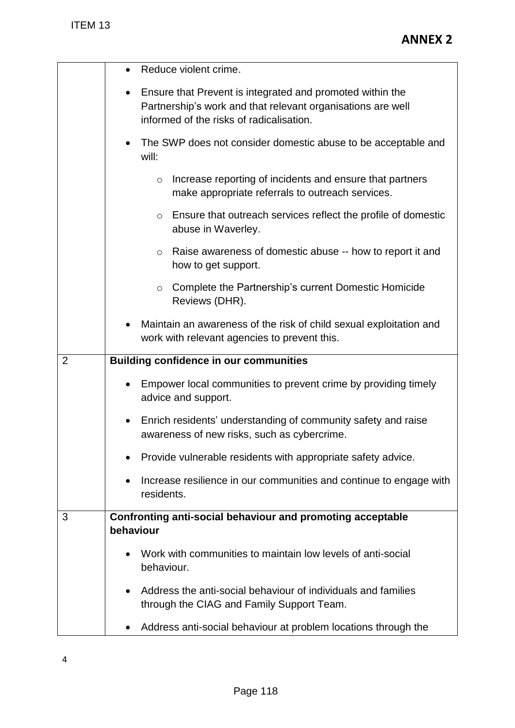| ITEM 13        | <b>ANNEX 2</b>                                                                                                                                                                    |  |  |
|----------------|-----------------------------------------------------------------------------------------------------------------------------------------------------------------------------------|--|--|
|                | Reduce violent crime.                                                                                                                                                             |  |  |
|                | Ensure that Prevent is integrated and promoted within the<br>$\bullet$<br>Partnership's work and that relevant organisations are well<br>informed of the risks of radicalisation. |  |  |
|                | The SWP does not consider domestic abuse to be acceptable and<br>will:                                                                                                            |  |  |
|                | Increase reporting of incidents and ensure that partners<br>$\circ$<br>make appropriate referrals to outreach services.                                                           |  |  |
|                | Ensure that outreach services reflect the profile of domestic<br>$\circ$<br>abuse in Waverley.                                                                                    |  |  |
|                | Raise awareness of domestic abuse -- how to report it and<br>$\circ$<br>how to get support.                                                                                       |  |  |
|                | Complete the Partnership's current Domestic Homicide<br>$\circ$<br>Reviews (DHR).                                                                                                 |  |  |
|                | Maintain an awareness of the risk of child sexual exploitation and<br>work with relevant agencies to prevent this.                                                                |  |  |
| $\overline{2}$ | <b>Building confidence in our communities</b>                                                                                                                                     |  |  |
|                | Empower local communities to prevent crime by providing timely<br>advice and support.                                                                                             |  |  |
|                | Enrich residents' understanding of community safety and raise<br>awareness of new risks, such as cybercrime.                                                                      |  |  |
|                | Provide vulnerable residents with appropriate safety advice.                                                                                                                      |  |  |
|                | Increase resilience in our communities and continue to engage with<br>residents.                                                                                                  |  |  |
| 3              | Confronting anti-social behaviour and promoting acceptable<br>behaviour                                                                                                           |  |  |
|                | Work with communities to maintain low levels of anti-social<br>behaviour.                                                                                                         |  |  |
|                | Address the anti-social behaviour of individuals and families<br>$\bullet$<br>through the CIAG and Family Support Team.                                                           |  |  |
|                | Address anti-social behaviour at problem locations through the                                                                                                                    |  |  |
| 4              |                                                                                                                                                                                   |  |  |
|                | Page 118                                                                                                                                                                          |  |  |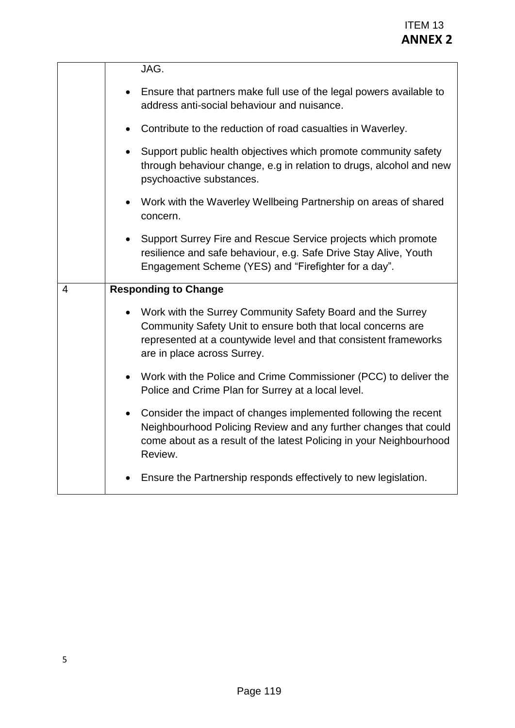|   | <b>ITEM 13</b><br><b>ANNEX 2</b>                                                                                                                                                                                              |
|---|-------------------------------------------------------------------------------------------------------------------------------------------------------------------------------------------------------------------------------|
|   | JAG.                                                                                                                                                                                                                          |
|   | Ensure that partners make full use of the legal powers available to<br>address anti-social behaviour and nuisance.                                                                                                            |
|   | Contribute to the reduction of road casualties in Waverley.<br>$\bullet$                                                                                                                                                      |
|   | Support public health objectives which promote community safety<br>through behaviour change, e.g in relation to drugs, alcohol and new<br>psychoactive substances.                                                            |
|   | Work with the Waverley Wellbeing Partnership on areas of shared<br>$\bullet$<br>concern.                                                                                                                                      |
|   | Support Surrey Fire and Rescue Service projects which promote<br>resilience and safe behaviour, e.g. Safe Drive Stay Alive, Youth<br>Engagement Scheme (YES) and "Firefighter for a day".                                     |
| 4 | <b>Responding to Change</b>                                                                                                                                                                                                   |
|   | Work with the Surrey Community Safety Board and the Surrey<br>Community Safety Unit to ensure both that local concerns are<br>represented at a countywide level and that consistent frameworks<br>are in place across Surrey. |
|   | Work with the Police and Crime Commissioner (PCC) to deliver the<br>$\bullet$<br>Police and Crime Plan for Surrey at a local level.                                                                                           |
|   | Consider the impact of changes implemented following the recent<br>Neighbourhood Policing Review and any further changes that could<br>come about as a result of the latest Policing in your Neighbourhood<br>Review.         |
|   | Ensure the Partnership responds effectively to new legislation.                                                                                                                                                               |
|   |                                                                                                                                                                                                                               |
| 5 |                                                                                                                                                                                                                               |
|   |                                                                                                                                                                                                                               |
|   | Page 119                                                                                                                                                                                                                      |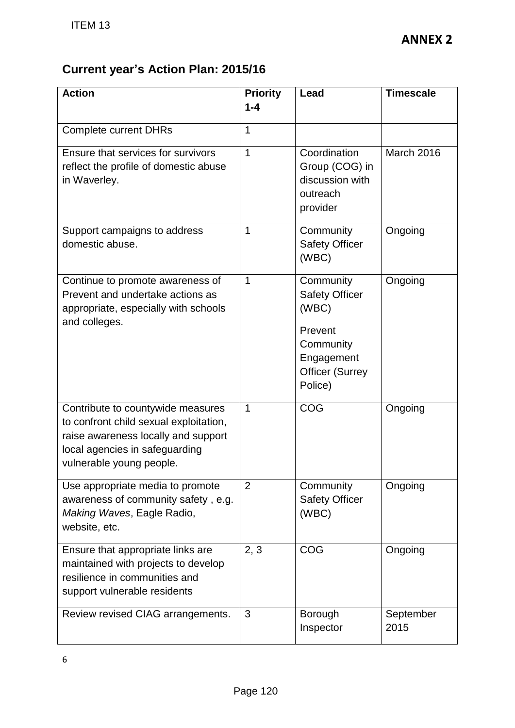# **Current year's Action Plan: 2015/16**

| <b>ITEM 13</b>                                                                                                                                                                   |                            |                                                                                                                        | <b>ANNEX 2</b>    |  |  |  |
|----------------------------------------------------------------------------------------------------------------------------------------------------------------------------------|----------------------------|------------------------------------------------------------------------------------------------------------------------|-------------------|--|--|--|
| <b>Current year's Action Plan: 2015/16</b><br><b>Action</b>                                                                                                                      | <b>Priority</b><br>$1 - 4$ | Lead                                                                                                                   | <b>Timescale</b>  |  |  |  |
| <b>Complete current DHRs</b>                                                                                                                                                     | 1                          |                                                                                                                        |                   |  |  |  |
| Ensure that services for survivors<br>reflect the profile of domestic abuse<br>in Waverley.                                                                                      | 1                          | Coordination<br>Group (COG) in<br>discussion with<br>outreach<br>provider                                              | March 2016        |  |  |  |
| Support campaigns to address<br>domestic abuse.                                                                                                                                  | 1                          | Community<br><b>Safety Officer</b><br>(WBC)                                                                            | Ongoing           |  |  |  |
| Continue to promote awareness of<br>Prevent and undertake actions as<br>appropriate, especially with schools<br>and colleges.                                                    | 1                          | Community<br><b>Safety Officer</b><br>(WBC)<br>Prevent<br>Community<br>Engagement<br><b>Officer (Surrey</b><br>Police) | Ongoing           |  |  |  |
| Contribute to countywide measures<br>to confront child sexual exploitation,<br>raise awareness locally and support<br>local agencies in safeguarding<br>vulnerable young people. | 1                          | COG                                                                                                                    | Ongoing           |  |  |  |
| Use appropriate media to promote<br>awareness of community safety, e.g.<br>Making Waves, Eagle Radio,<br>website, etc.                                                           | $\overline{2}$             | Community<br><b>Safety Officer</b><br>(WBC)                                                                            | Ongoing           |  |  |  |
| Ensure that appropriate links are<br>maintained with projects to develop<br>resilience in communities and<br>support vulnerable residents                                        | 2, 3                       | COG                                                                                                                    | Ongoing           |  |  |  |
| Review revised CIAG arrangements.                                                                                                                                                | 3                          | Borough<br>Inspector                                                                                                   | September<br>2015 |  |  |  |
| 6                                                                                                                                                                                |                            |                                                                                                                        |                   |  |  |  |
| Page 120                                                                                                                                                                         |                            |                                                                                                                        |                   |  |  |  |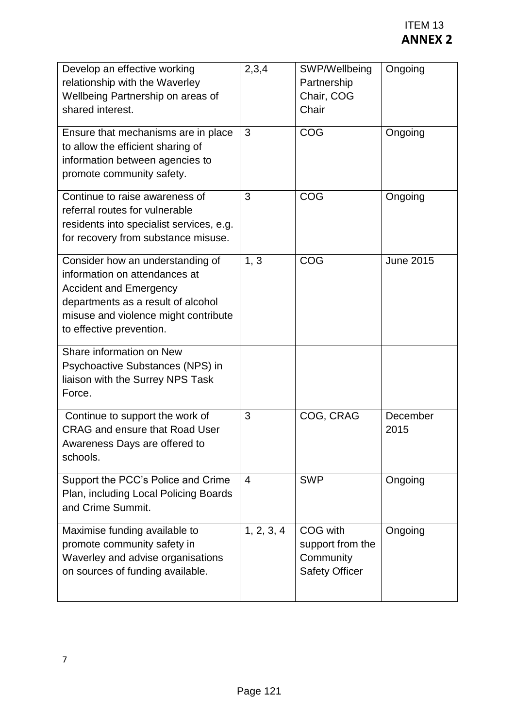|                                                                                                                                                                                                              |            |                                                                    | <b>ITEM 13</b><br><b>ANNEX 2</b> |
|--------------------------------------------------------------------------------------------------------------------------------------------------------------------------------------------------------------|------------|--------------------------------------------------------------------|----------------------------------|
| Develop an effective working<br>relationship with the Waverley<br>Wellbeing Partnership on areas of<br>shared interest.                                                                                      | 2,3,4      | SWP/Wellbeing<br>Partnership<br>Chair, COG<br>Chair                | Ongoing                          |
| Ensure that mechanisms are in place<br>to allow the efficient sharing of<br>information between agencies to<br>promote community safety.                                                                     | 3          | COG                                                                | Ongoing                          |
| Continue to raise awareness of<br>referral routes for vulnerable<br>residents into specialist services, e.g.<br>for recovery from substance misuse.                                                          | 3          | COG                                                                | Ongoing                          |
| Consider how an understanding of<br>information on attendances at<br><b>Accident and Emergency</b><br>departments as a result of alcohol<br>misuse and violence might contribute<br>to effective prevention. | 1, 3       | COG                                                                | <b>June 2015</b>                 |
| Share information on New<br>Psychoactive Substances (NPS) in<br>liaison with the Surrey NPS Task<br>Force.                                                                                                   |            |                                                                    |                                  |
| Continue to support the work of<br><b>CRAG and ensure that Road User</b><br>Awareness Days are offered to<br>schools.                                                                                        | 3          | COG, CRAG                                                          | December<br>2015                 |
| Support the PCC's Police and Crime<br>Plan, including Local Policing Boards<br>and Crime Summit.                                                                                                             | 4          | <b>SWP</b>                                                         | Ongoing                          |
| Maximise funding available to<br>promote community safety in<br>Waverley and advise organisations<br>on sources of funding available.                                                                        | 1, 2, 3, 4 | COG with<br>support from the<br>Community<br><b>Safety Officer</b> | Ongoing                          |
|                                                                                                                                                                                                              |            |                                                                    |                                  |
| 7                                                                                                                                                                                                            |            |                                                                    |                                  |
|                                                                                                                                                                                                              | Page 121   |                                                                    |                                  |